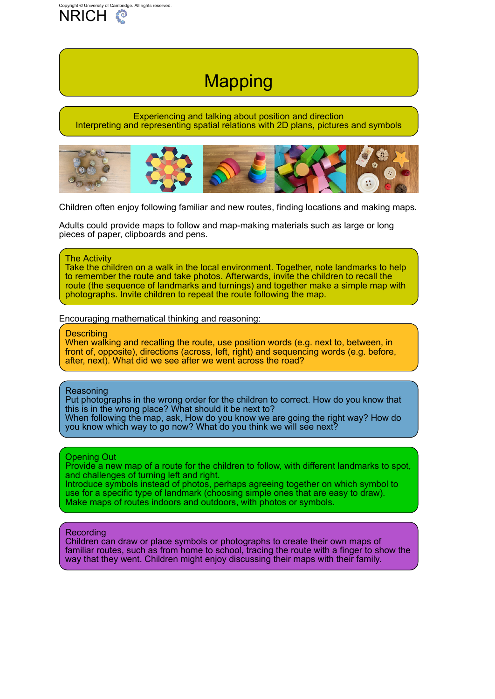# **Mapping**

### <span id="page-0-0"></span>Experiencing and talking about position and direction Interpreting and representing spatial relations with 2D plans, pictures and symbols



Children often enjoy following familiar and new routes, finding locations and making maps.

Adults could provide maps to follow and map-making materials such as large or long pieces of paper, clipboards and pens.

#### The Activity

Take the children on a walk in the local environment. Together, note landmarks to help to remember the route and take photos. Afterwards, invite the children to recall the route (the sequence of landmarks and turnings) and together make a simple map with photographs. Invite children to repeat the route following the map.

Encouraging mathematical thinking and reasoning:

#### **Describing**

When walking and recalling the route, use position words (e.g. next to, between, in front of, opposite), directions (across, left, right) and sequencing words (e.g. before, after, next). What did we see after we went across the road?

#### Reasoning

Put photographs in the wrong order for the children to correct. How do you know that this is in the wrong place? What should it be next to? When following the map, ask, How do you know we are going the right way? How do

you know which way to go now? What do you think we will see next?

## Opening Out

Provide a new map of a route for the children to follow, with different landmarks to spot, and challenges of turning left and right.

Introduce symbols instead of photos, perhaps agreeing together on which symbol to use for a specific type of landmark (choosing simple ones that are easy to draw). Make maps of routes indoors and outdoors, with photos or symbols.

## Recording

Children can draw or place symbols or photographs to create their own maps of familiar routes, such as from home to school, tracing the route with a finger to show the way that they went. Children might enjoy discussing their maps with their family.